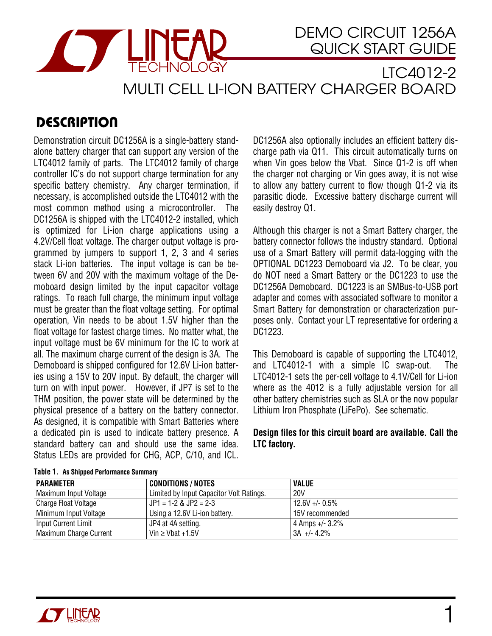

LTC4012-2 MULTI CELL LI-ION BATTERY CHARGER BOARD

# **DESCRIPTION**

Demonstration circuit DC1256A is a single-battery standalone battery charger that can support any version of the LTC4012 family of parts. The LTC4012 family of charge controller IC's do not support charge termination for any specific battery chemistry. Any charger termination, if necessary, is accomplished outside the LTC4012 with the most common method using a microcontroller. The DC1256A is shipped with the LTC4012-2 installed, which is optimized for Li-ion charge applications using a 4.2V/Cell float voltage.The charger output voltage is programmed by jumpers to support 1, 2, 3 and 4 series stack Li-ion batteries. The input voltage is can be between 6V and 20V with the maximum voltage of the Demoboard design limited by the input capacitor voltage ratings. To reach full charge, the minimum input voltage must be greater than the float voltage setting. For optimal operation, Vin needs to be about 1.5V higher than the float voltage for fastest charge times. No matter what, the input voltage must be 6V minimum for the IC to work at all. The maximum charge current of the design is 3A. The Demoboard is shipped configured for 12.6V Li-ion batteries using a 15V to 20V input. By default, the charger will turn on with input power. However, if JP7 is set to the THM position, the power state will be determined by the physical presence of a battery on the battery connector. As designed, it is compatible with Smart Batteries where a dedicated pin is used to indicate battery presence. A standard battery can and should use the same idea. Status LEDs are provided for CHG, ACP, C/10, and ICL.

DC1256A also optionally includes an efficient battery discharge path via Q11. This circuit automatically turns on when Vin goes below the Vbat. Since Q1-2 is off when the charger not charging or Vin goes away, it is not wise to allow any battery current to flow though Q1-2 via its parasitic diode. Excessive battery discharge current will easily destroy Q1.

Although this charger is not a Smart Battery charger, the battery connector follows the industry standard. Optional use of a Smart Battery will permit data-logging with the OPTIONAL DC1223 Demoboard via J2. To be clear, you do NOT need a Smart Battery or the DC1223 to use the DC1256A Demoboard. DC1223 is an SMBus-to-USB port adapter and comes with associated software to monitor a Smart Battery for demonstration or characterization purposes only. Contact your LT representative for ordering a DC1223.

This Demoboard is capable of supporting the LTC4012, and LTC4012-1 with a simple IC swap-out. The LTC4012-1 sets the per-cell voltage to 4.1V/Cell for Li-ion where as the 4012 is a fully adjustable version for all other battery chemistries such as SLA or the now popular Lithium Iron Phosphate (LiFePo). See schematic.

### **Design files for this circuit board are available. Call the LTC factory.**

| <b>PARAMETER</b>       | <b>CONDITIONS / NOTES</b>                | <b>VALUE</b>       |
|------------------------|------------------------------------------|--------------------|
| Maximum Input Voltage  | Limited by Input Capacitor Volt Ratings. | <b>20V</b>         |
| Charge Float Voltage   | $JPI = 1-2$ & JP2 = 2-3                  | $12.6V + - 0.5\%$  |
| Minimum Input Voltage  | Using a 12.6V Li-ion battery.            | 15V recommended    |
| Input Current Limit    | JP4 at 4A setting.                       | 4 Amps $+/- 3.2\%$ |
| Maximum Charge Current | $Vin \ge Vbat +1.5V$                     | $13A + -4.2\%$     |

#### **Table 1. As Shipped Perform ance Sum m ary**

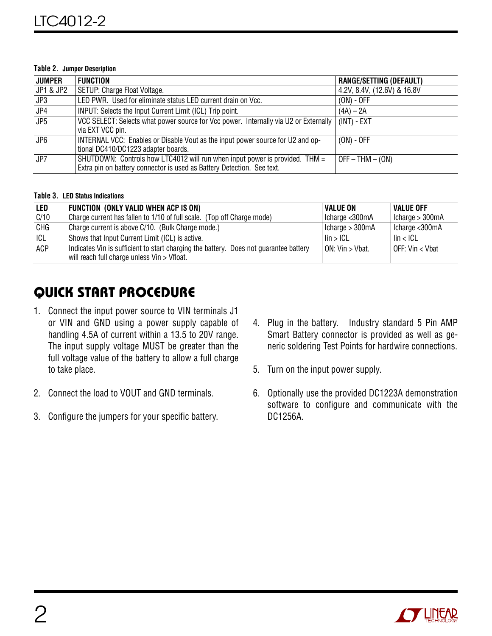#### **Table 2. Jumper Description**

| <b>JUMPER</b>    | <b>FUNCTION</b>                                                                                                                                       | <b>RANGE/SETTING (DEFAULT)</b> |
|------------------|-------------------------------------------------------------------------------------------------------------------------------------------------------|--------------------------------|
| JP1 & JP2        | SETUP: Charge Float Voltage.                                                                                                                          | 4.2V, 8.4V, (12.6V) & 16.8V    |
| JP3              | LED PWR. Used for eliminate status LED current drain on Vcc.                                                                                          | $(ON) - OFF$                   |
| JP4              | INPUT: Selects the Input Current Limit (ICL) Trip point.                                                                                              | $(4A) - 2A$                    |
| JP5              | VCC SELECT: Selects what power source for Vcc power. Internally via U2 or Externally<br>via EXT VCC pin.                                              | $(INT) - EXT$                  |
| $J\overline{P6}$ | INTERNAL VCC: Enables or Disable Vout as the input power source for U2 and op-<br>tional DC410/DC1223 adapter boards.                                 | $(ON) - OFF$                   |
| JPT              | SHUTDOWN: Controls how LTC4012 will run when input power is provided. THM =<br>Extra pin on battery connector is used as Battery Detection. See text. | $OFF - THM - (ON)$             |

#### **Table 3. LED Status Indications**

| LED  | FUNCTION (ONLY VALID WHEN ACP IS ON)                                                                                                 | <b>VALUE ON</b>     | Value off         |
|------|--------------------------------------------------------------------------------------------------------------------------------------|---------------------|-------------------|
| C/10 | Charge current has fallen to 1/10 of full scale. (Top off Charge mode)                                                               | Icharge <300mA      | Icharge $>$ 300mA |
| CHG  | Charge current is above C/10. (Bulk Charge mode.)                                                                                    | I Icharge $>$ 300mA | Icharge < 300mA   |
| ICL  | Shows that Input Current Limit (ICL) is active.                                                                                      | lin > ICL           | $\ln$ < ICL       |
| ACP  | Indicates Vin is sufficient to start charging the battery. Does not guarantee battery<br>will reach full charge unless Vin > Vfloat. | ON: Vin > Vbat.     | l OFF: Vin < Vbat |

## QUICK START PROCEDURE

- 1. Connect the input power source to VIN terminals J1 or VIN and GND using a power supply capable of handling 4.5A of current within a 13.5 to 20V range. The input supply voltage MUST be greater than the full voltage value of the battery to allow a full charge to take place.
- 2. Connect the load to VOUT and GND terminals.
- 3. Configure the jumpers for your specific battery.
- 4. Plug in the battery. Industry standard 5 Pin AMP Smart Battery connector is provided as well as generic soldering Test Points for hardwire connections.
- 5. Turn on the input power supply.
- 6. Optionally use the provided DC1223A demonstration software to configure and communicate with the DC1256A.

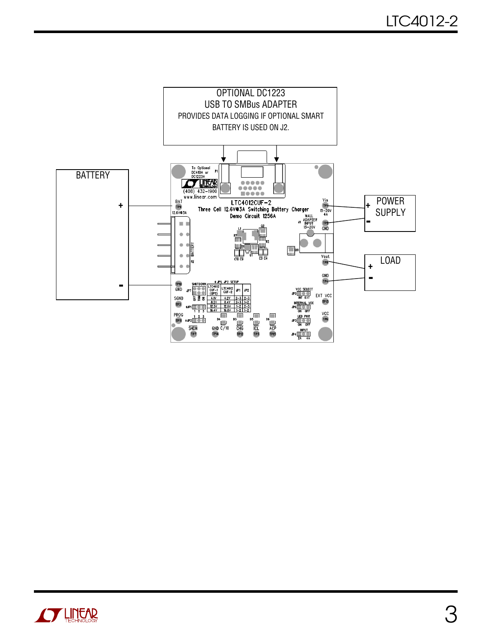